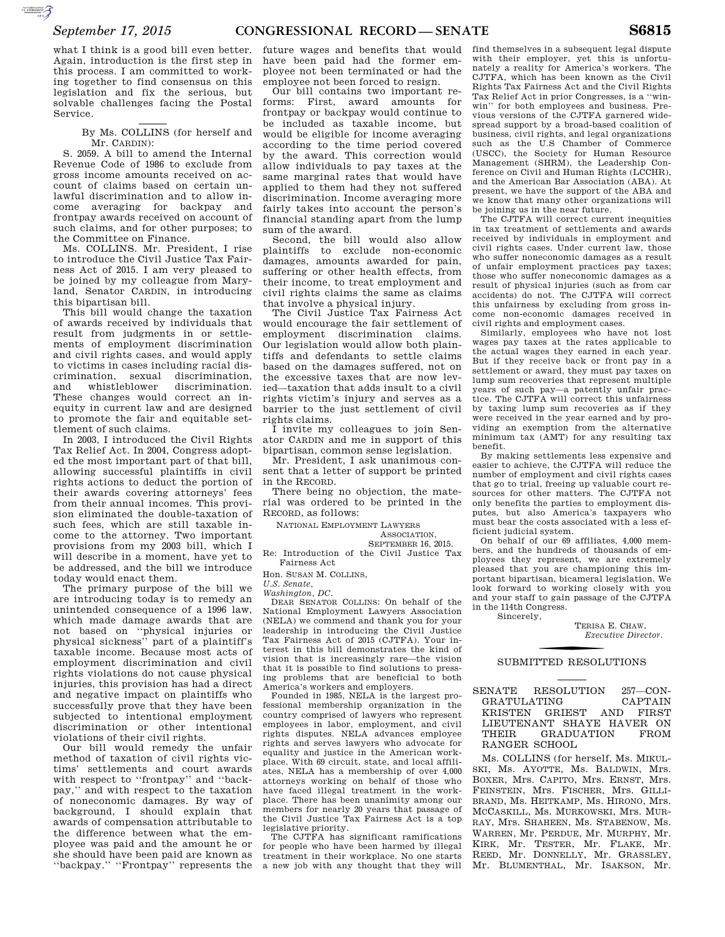what I think is a good bill even better. Again, introduction is the first step in this process. I am committed to working together to find consensus on this legislation and fix the serious, but solvable challenges facing the Postal Service.

> By Ms. COLLINS (for herself and Mr. CARDIN):

S. 2059. A bill to amend the Internal Revenue Code of 1986 to exclude from gross income amounts received on account of claims based on certain unlawful discrimination and to allow income averaging for backpay and frontpay awards received on account of such claims, and for other purposes; to the Committee on Finance.

Ms. COLLINS. Mr. President, I rise to introduce the Civil Justice Tax Fairness Act of 2015. I am very pleased to be joined by my colleague from Maryland, Senator CARDIN, in introducing this bipartisan bill.

This bill would change the taxation of awards received by individuals that result from judgments in or settlements of employment discrimination and civil rights cases, and would apply to victims in cases including racial discrimination, sexual discrimination, and whistleblower discrimination. These changes would correct an inequity in current law and are designed to promote the fair and equitable settlement of such claims.

In 2003, I introduced the Civil Rights Tax Relief Act. In 2004, Congress adopted the most important part of that bill, allowing successful plaintiffs in civil rights actions to deduct the portion of their awards covering attorneys' fees from their annual incomes. This provision eliminated the double-taxation of such fees, which are still taxable income to the attorney. Two important provisions from my 2003 bill, which I will describe in a moment, have yet to be addressed, and the bill we introduce today would enact them.

The primary purpose of the bill we are introducing today is to remedy an unintended consequence of a 1996 law, which made damage awards that are not based on ''physical injuries or physical sickness'' part of a plaintiff's taxable income. Because most acts of employment discrimination and civil rights violations do not cause physical injuries, this provision has had a direct and negative impact on plaintiffs who successfully prove that they have been subjected to intentional employment discrimination or other intentional violations of their civil rights.

Our bill would remedy the unfair method of taxation of civil rights victims' settlements and court awards with respect to ''frontpay'' and ''backpay,'' and with respect to the taxation of noneconomic damages. By way of background, I should explain that awards of compensation attributable to the difference between what the employee was paid and the amount he or she should have been paid are known as ''backpay.'' ''Frontpay'' represents the

future wages and benefits that would have been paid had the former employee not been terminated or had the employee not been forced to resign.

Our bill contains two important reforms: First, award amounts for frontpay or backpay would continue to be included as taxable income, but would be eligible for income averaging according to the time period covered by the award. This correction would allow individuals to pay taxes at the same marginal rates that would have applied to them had they not suffered discrimination. Income averaging more fairly takes into account the person's financial standing apart from the lump sum of the award.

Second, the bill would also allow plaintiffs to exclude non-economic damages, amounts awarded for pain, suffering or other health effects, from their income, to treat employment and civil rights claims the same as claims that involve a physical injury.

The Civil Justice Tax Fairness Act would encourage the fair settlement of employment discrimination claims. Our legislation would allow both plaintiffs and defendants to settle claims based on the damages suffered, not on the excessive taxes that are now levied—taxation that adds insult to a civil rights victim's injury and serves as a barrier to the just settlement of civil rights claims.

I invite my colleagues to join Senator CARDIN and me in support of this bipartisan, common sense legislation.

Mr. President, I ask unanimous consent that a letter of support be printed in the RECORD.

There being no objection, the material was ordered to be printed in the RECORD, as follows:

NATIONAL EMPLOYMENT LAWYERS

ASSOCIATION,

SEPTEMBER 16, 2015. Re: Introduction of the Civil Justice Tax Fairness Act

Hon. SUSAN M. COLLINS,

*U.S. Senate,* 

*Washington, DC.* 

DEAR SENATOR COLLINS: On behalf of the National Employment Lawyers Association (NELA) we commend and thank you for your leadership in introducing the Civil Justice Tax Fairness Act of 2015 (CJTFA). Your interest in this bill demonstrates the kind of vision that is increasingly rare—the vision that it is possible to find solutions to pressing problems that are beneficial to both America's workers and employers.

Founded in 1985, NELA is the largest professional membership organization in the country comprised of lawyers who represent employees in labor, employment, and civil rights disputes. NELA advances employee rights and serves lawyers who advocate for equality and justice in the American workplace. With 69 circuit, state, and local affiliates, NELA has a membership of over 4,000 attorneys working on behalf of those who have faced illegal treatment in the workplace. There has been unanimity among our members for nearly 20 years that passage of the Civil Justice Tax Fairness Act is a top legislative priority.

The CJTFA has significant ramifications for people who have been harmed by illegal treatment in their workplace. No one starts a new job with any thought that they will

find themselves in a subsequent legal dispute with their employer, yet this is unfortunately a reality for America's workers. The CJTFA, which has been known as the Civil Rights Tax Fairness Act and the Civil Rights Tax Relief Act in prior Congresses, is a ''winwin'' for both employees and business. Previous versions of the CJTFA garnered widespread support by a broad-based coalition of business, civil rights, and legal organizations such as the U.S Chamber of Commerce (USCC), the Society for Human Resource Management (SHRM), the Leadership Conference on Civil and Human Rights (LCCHR), and the American Bar Association (ABA). At present, we have the support of the ABA and we know that many other organizations will be joining us in the near future.

The CJTFA will correct current inequities in tax treatment of settlements and awards received by individuals in employment and civil rights cases. Under current law, those who suffer noneconomic damages as a result of unfair employment practices pay taxes; those who suffer noneconomic damages as a result of physical injuries (such as from car accidents) do not. The CJTFA will correct this unfairness by excluding from gross income non-economic damages received in civil rights and employment cases.

Similarly, employees who have not lost wages pay taxes at the rates applicable to the actual wages they earned in each year. But if they receive back or front pay in a settlement or award, they must pay taxes on lump sum recoveries that represent multiple years of such pay—a patently unfair practice. The CJTFA will correct this unfairness by taxing lump sum recoveries as if they were received in the year earned and by providing an exemption from the alternative minimum tax (AMT) for any resulting tax benefit.

By making settlements less expensive and easier to achieve, the CJTFA will reduce the number of employment and civil rights cases that go to trial, freeing up valuable court resources for other matters. The CJTFA not only benefits the parties to employment disputes, but also America's taxpayers who must bear the costs associated with a less efficient judicial system.

On behalf of our 69 affiliates, 4,000 members, and the hundreds of thousands of employees they represent, we are extremely pleased that you are championing this important bipartisan, bicameral legislation. We look forward to working closely with you and your staff to gain passage of the CJTFA in the 114th Congress.

Sincerely,

TERISA E. CHAW, *Executive Director.* 

## SUBMITTED RESOLUTIONS

SENATE RESOLUTION 257—CON-GRATULATING CAPTAIN KRISTEN GRIEST AND FIRST LIEUTENANT SHAYE HAVER ON THEIR GRADUATION FROM RANGER SCHOOL

Ms. COLLINS (for herself, Ms. MIKUL-SKI, Ms. AYOTTE, Ms. BALDWIN, Mrs. BOXER, Mrs. CAPITO, Mrs. ERNST, Mrs. FEINSTEIN, Mrs. FISCHER, Mrs. GILLI-BRAND, Ms. HEITKAMP, Ms. HIRONO, Mrs. MCCASKILL, Ms. MURKOWSKI, Mrs. MUR-RAY, Mrs. SHAHEEN, Ms. STABENOW, Ms. WARREN, Mr. PERDUE, Mr. MURPHY, Mr. KIRK, Mr. TESTER, Mr. FLAKE, Mr. REED, Mr. DONNELLY, Mr. GRASSLEY, Mr. BLUMENTHAL, Mr. ISAKSON, Mr.